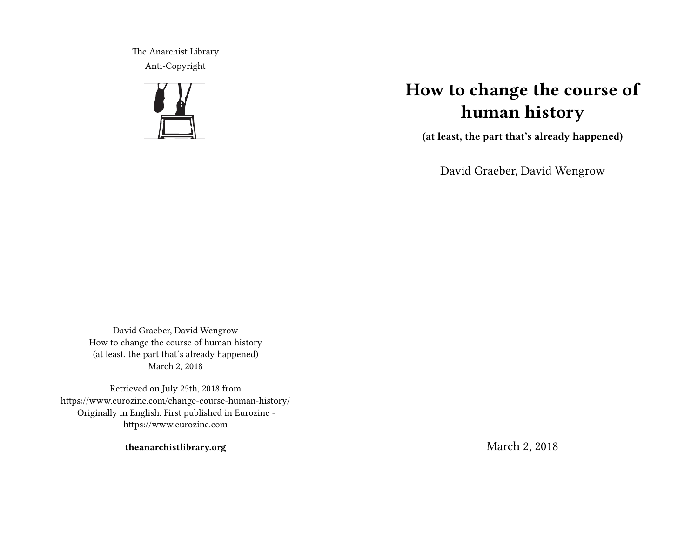The Anarchist Library Anti-Copyright



# **How to change the course of human history**

**(at least, the part that's already happened)**

David Graeber, David Wengrow

David Graeber, David Wengrow How to change the course of human history (at least, the part that's already happened) March 2, 2018

Retrieved on July 25th, 2018 from https://www.eurozine.com/change-course-human-history/ Originally in English. First published in Eurozine https://www.eurozine.com

**theanarchistlibrary.org**

March 2, 2018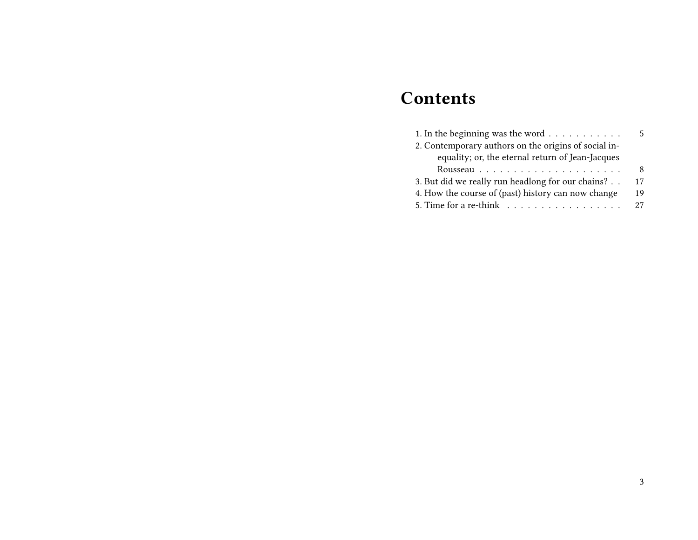# **Contents**

| 1. In the beginning was the word $\dots \dots \dots$ | 5. |
|------------------------------------------------------|----|
| 2. Contemporary authors on the origins of social in- |    |
| equality; or, the eternal return of Jean-Jacques     |    |
|                                                      | 8  |
| 3. But did we really run headlong for our chains?    | 17 |
| 4. How the course of (past) history can now change   | 19 |
|                                                      | 27 |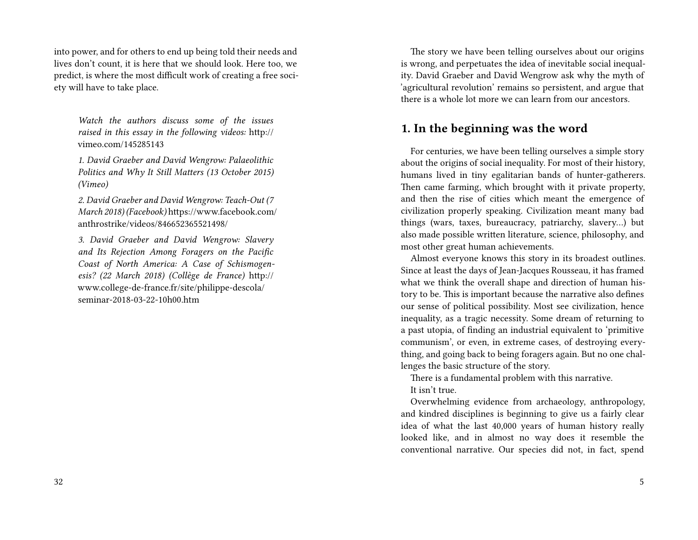into power, and for others to end up being told their needs and lives don't count, it is here that we should look. Here too, we predict, is where the most difficult work of creating a free society will have to take place.

*Watch the authors discuss some of the issues raised in this essay in the following videos:* http:// vimeo.com/145285143

*1. David Graeber and David Wengrow: Palaeolithic Politics and Why It Still Matters (13 October 2015) (Vimeo)*

*2. David Graeber and David Wengrow: Teach-Out (7 March 2018) (Facebook)* https://www.facebook.com/ anthrostrike/videos/846652365521498/

*3. David Graeber and David Wengrow: Slavery and Its Rejection Among Foragers on the Pacific Coast of North America: A Case of Schismogenesis? (22 March 2018) (Collège de France)* http:// www.college-de-france.fr/site/philippe-descola/ seminar-2018-03-22-10h00.htm

The story we have been telling ourselves about our origins is wrong, and perpetuates the idea of inevitable social inequality. David Graeber and David Wengrow ask why the myth of 'agricultural revolution' remains so persistent, and argue that there is a whole lot more we can learn from our ancestors.

#### **1. In the beginning was the word**

For centuries, we have been telling ourselves a simple story about the origins of social inequality. For most of their history, humans lived in tiny egalitarian bands of hunter-gatherers. Then came farming, which brought with it private property, and then the rise of cities which meant the emergence of civilization properly speaking. Civilization meant many bad things (wars, taxes, bureaucracy, patriarchy, slavery…) but also made possible written literature, science, philosophy, and most other great human achievements.

Almost everyone knows this story in its broadest outlines. Since at least the days of Jean-Jacques Rousseau, it has framed what we think the overall shape and direction of human history to be. This is important because the narrative also defines our sense of political possibility. Most see civilization, hence inequality, as a tragic necessity. Some dream of returning to a past utopia, of finding an industrial equivalent to 'primitive communism', or even, in extreme cases, of destroying everything, and going back to being foragers again. But no one challenges the basic structure of the story.

There is a fundamental problem with this narrative. It isn't true.

Overwhelming evidence from archaeology, anthropology, and kindred disciplines is beginning to give us a fairly clear idea of what the last 40,000 years of human history really looked like, and in almost no way does it resemble the conventional narrative. Our species did not, in fact, spend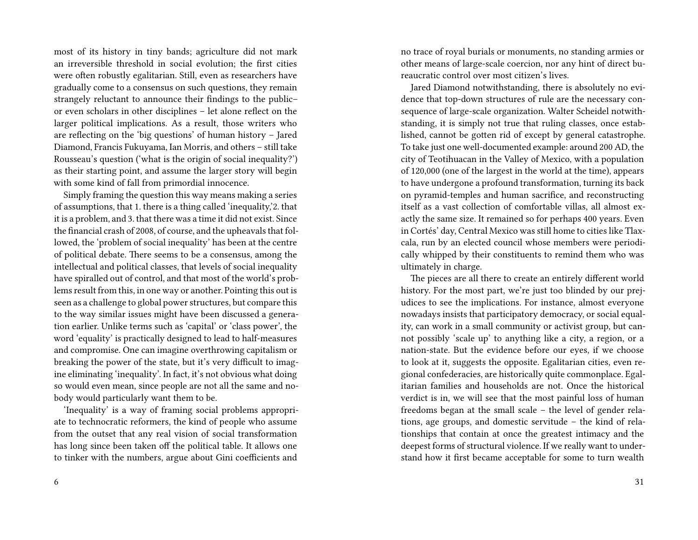most of its history in tiny bands; agriculture did not mark an irreversible threshold in social evolution; the first cities were often robustly egalitarian. Still, even as researchers have gradually come to a consensus on such questions, they remain strangely reluctant to announce their findings to the public– or even scholars in other disciplines – let alone reflect on the larger political implications. As a result, those writers who are reflecting on the 'big questions' of human history – Jared Diamond, Francis Fukuyama, Ian Morris, and others – still take Rousseau's question ('what is the origin of social inequality?') as their starting point, and assume the larger story will begin with some kind of fall from primordial innocence.

Simply framing the question this way means making a series of assumptions, that 1. there is a thing called 'inequality,'2. that it is a problem, and 3. that there was a time it did not exist. Since the financial crash of 2008, of course, and the upheavals that followed, the 'problem of social inequality' has been at the centre of political debate. There seems to be a consensus, among the intellectual and political classes, that levels of social inequality have spiralled out of control, and that most of the world's problems result from this, in one way or another. Pointing this out is seen as a challenge to global power structures, but compare this to the way similar issues might have been discussed a generation earlier. Unlike terms such as 'capital' or 'class power', the word 'equality' is practically designed to lead to half-measures and compromise. One can imagine overthrowing capitalism or breaking the power of the state, but it's very difficult to imagine eliminating 'inequality'. In fact, it's not obvious what doing so would even mean, since people are not all the same and nobody would particularly want them to be.

'Inequality' is a way of framing social problems appropriate to technocratic reformers, the kind of people who assume from the outset that any real vision of social transformation has long since been taken off the political table. It allows one to tinker with the numbers, argue about Gini coefficients and

no trace of royal burials or monuments, no standing armies or other means of large-scale coercion, nor any hint of direct bureaucratic control over most citizen's lives.

Jared Diamond notwithstanding, there is absolutely no evidence that top-down structures of rule are the necessary consequence of large-scale organization. Walter Scheidel notwithstanding, it is simply not true that ruling classes, once established, cannot be gotten rid of except by general catastrophe. To take just one well-documented example: around 200 AD, the city of Teotihuacan in the Valley of Mexico, with a population of 120,000 (one of the largest in the world at the time), appears to have undergone a profound transformation, turning its back on pyramid-temples and human sacrifice, and reconstructing itself as a vast collection of comfortable villas, all almost exactly the same size. It remained so for perhaps 400 years. Even in Cortés' day, Central Mexico was still home to cities like Tlaxcala, run by an elected council whose members were periodically whipped by their constituents to remind them who was ultimately in charge.

The pieces are all there to create an entirely different world history. For the most part, we're just too blinded by our prejudices to see the implications. For instance, almost everyone nowadays insists that participatory democracy, or social equality, can work in a small community or activist group, but cannot possibly 'scale up' to anything like a city, a region, or a nation-state. But the evidence before our eyes, if we choose to look at it, suggests the opposite. Egalitarian cities, even regional confederacies, are historically quite commonplace. Egalitarian families and households are not. Once the historical verdict is in, we will see that the most painful loss of human freedoms began at the small scale – the level of gender relations, age groups, and domestic servitude – the kind of relationships that contain at once the greatest intimacy and the deepest forms of structural violence. If we really want to understand how it first became acceptable for some to turn wealth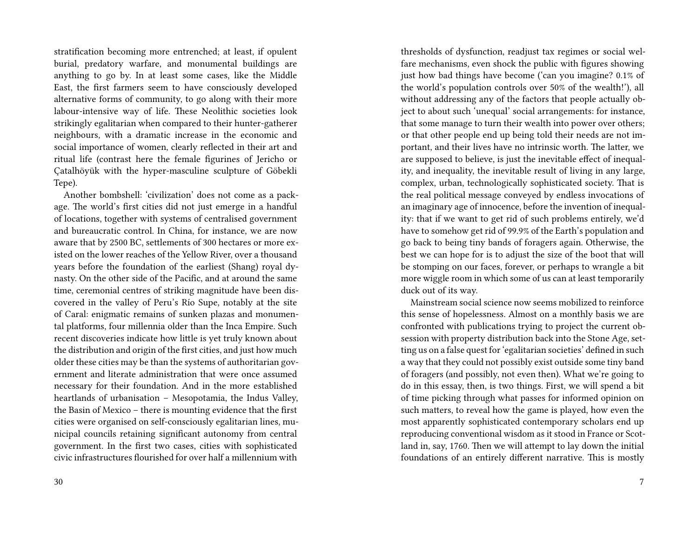stratification becoming more entrenched; at least, if opulent burial, predatory warfare, and monumental buildings are anything to go by. In at least some cases, like the Middle East, the first farmers seem to have consciously developed alternative forms of community, to go along with their more labour-intensive way of life. These Neolithic societies look strikingly egalitarian when compared to their hunter-gatherer neighbours, with a dramatic increase in the economic and social importance of women, clearly reflected in their art and ritual life (contrast here the female figurines of Jericho or Çatalhöyük with the hyper-masculine sculpture of Göbekli Tepe).

Another bombshell: 'civilization' does not come as a package. The world's first cities did not just emerge in a handful of locations, together with systems of centralised government and bureaucratic control. In China, for instance, we are now aware that by 2500 BC, settlements of 300 hectares or more existed on the lower reaches of the Yellow River, over a thousand years before the foundation of the earliest (Shang) royal dynasty. On the other side of the Pacific, and at around the same time, ceremonial centres of striking magnitude have been discovered in the valley of Peru's Río Supe, notably at the site of Caral: enigmatic remains of sunken plazas and monumental platforms, four millennia older than the Inca Empire. Such recent discoveries indicate how little is yet truly known about the distribution and origin of the first cities, and just how much older these cities may be than the systems of authoritarian government and literate administration that were once assumed necessary for their foundation. And in the more established heartlands of urbanisation – Mesopotamia, the Indus Valley, the Basin of Mexico – there is mounting evidence that the first cities were organised on self-consciously egalitarian lines, municipal councils retaining significant autonomy from central government. In the first two cases, cities with sophisticated civic infrastructures flourished for over half a millennium with

thresholds of dysfunction, readjust tax regimes or social welfare mechanisms, even shock the public with figures showing just how bad things have become ('can you imagine? 0.1% of the world's population controls over 50% of the wealth!'), all without addressing any of the factors that people actually object to about such 'unequal' social arrangements: for instance, that some manage to turn their wealth into power over others; or that other people end up being told their needs are not important, and their lives have no intrinsic worth. The latter, we are supposed to believe, is just the inevitable effect of inequality, and inequality, the inevitable result of living in any large, complex, urban, technologically sophisticated society. That is the real political message conveyed by endless invocations of an imaginary age of innocence, before the invention of inequality: that if we want to get rid of such problems entirely, we'd have to somehow get rid of 99.9% of the Earth's population and go back to being tiny bands of foragers again. Otherwise, the best we can hope for is to adjust the size of the boot that will be stomping on our faces, forever, or perhaps to wrangle a bit more wiggle room in which some of us can at least temporarily duck out of its way.

Mainstream social science now seems mobilized to reinforce this sense of hopelessness. Almost on a monthly basis we are confronted with publications trying to project the current obsession with property distribution back into the Stone Age, setting us on a false quest for 'egalitarian societies' defined in such a way that they could not possibly exist outside some tiny band of foragers (and possibly, not even then). What we're going to do in this essay, then, is two things. First, we will spend a bit of time picking through what passes for informed opinion on such matters, to reveal how the game is played, how even the most apparently sophisticated contemporary scholars end up reproducing conventional wisdom as it stood in France or Scotland in, say, 1760. Then we will attempt to lay down the initial foundations of an entirely different narrative. This is mostly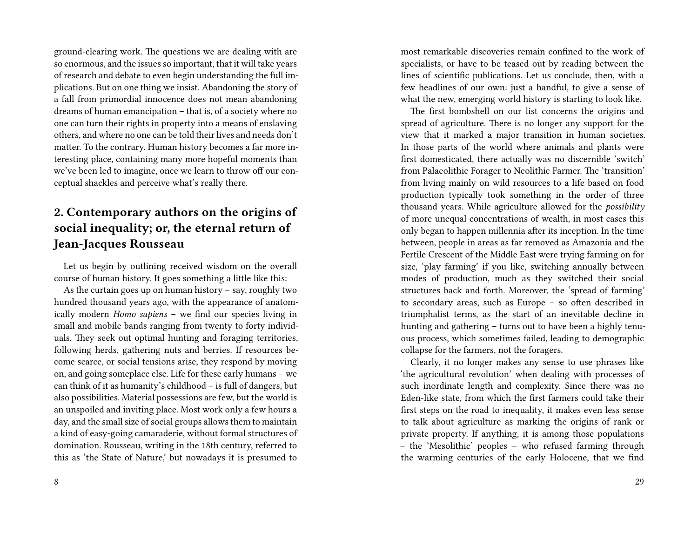ground-clearing work. The questions we are dealing with are so enormous, and the issues so important, that it will take years of research and debate to even begin understanding the full implications. But on one thing we insist. Abandoning the story of a fall from primordial innocence does not mean abandoning dreams of human emancipation – that is, of a society where no one can turn their rights in property into a means of enslaving others, and where no one can be told their lives and needs don't matter. To the contrary. Human history becomes a far more interesting place, containing many more hopeful moments than we've been led to imagine, once we learn to throw off our conceptual shackles and perceive what's really there.

## **2. Contemporary authors on the origins of social inequality; or, the eternal return of Jean-Jacques Rousseau**

Let us begin by outlining received wisdom on the overall course of human history. It goes something a little like this:

As the curtain goes up on human history – say, roughly two hundred thousand years ago, with the appearance of anatomically modern *Homo sapiens* – we find our species living in small and mobile bands ranging from twenty to forty individuals. They seek out optimal hunting and foraging territories, following herds, gathering nuts and berries. If resources become scarce, or social tensions arise, they respond by moving on, and going someplace else. Life for these early humans – we can think of it as humanity's childhood – is full of dangers, but also possibilities. Material possessions are few, but the world is an unspoiled and inviting place. Most work only a few hours a day, and the small size of social groups allows them to maintain a kind of easy-going camaraderie, without formal structures of domination. Rousseau, writing in the 18th century, referred to this as 'the State of Nature,' but nowadays it is presumed to

most remarkable discoveries remain confined to the work of specialists, or have to be teased out by reading between the lines of scientific publications. Let us conclude, then, with a few headlines of our own: just a handful, to give a sense of what the new, emerging world history is starting to look like.

The first bombshell on our list concerns the origins and spread of agriculture. There is no longer any support for the view that it marked a major transition in human societies. In those parts of the world where animals and plants were first domesticated, there actually was no discernible 'switch' from Palaeolithic Forager to Neolithic Farmer. The 'transition' from living mainly on wild resources to a life based on food production typically took something in the order of three thousand years. While agriculture allowed for the *possibility* of more unequal concentrations of wealth, in most cases this only began to happen millennia after its inception. In the time between, people in areas as far removed as Amazonia and the Fertile Crescent of the Middle East were trying farming on for size, 'play farming' if you like, switching annually between modes of production, much as they switched their social structures back and forth. Moreover, the 'spread of farming' to secondary areas, such as Europe – so often described in triumphalist terms, as the start of an inevitable decline in hunting and gathering – turns out to have been a highly tenuous process, which sometimes failed, leading to demographic collapse for the farmers, not the foragers.

Clearly, it no longer makes any sense to use phrases like 'the agricultural revolution' when dealing with processes of such inordinate length and complexity. Since there was no Eden-like state, from which the first farmers could take their first steps on the road to inequality, it makes even less sense to talk about agriculture as marking the origins of rank or private property. If anything, it is among those populations – the 'Mesolithic' peoples – who refused farming through the warming centuries of the early Holocene, that we find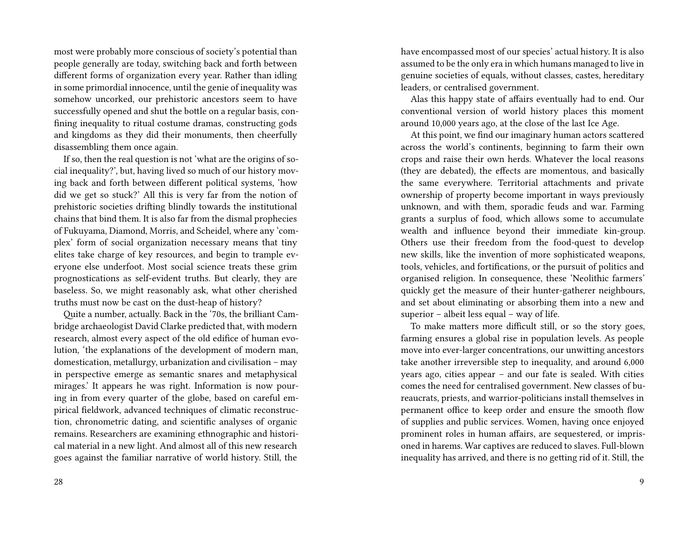most were probably more conscious of society's potential than people generally are today, switching back and forth between different forms of organization every year. Rather than idling in some primordial innocence, until the genie of inequality was somehow uncorked, our prehistoric ancestors seem to have successfully opened and shut the bottle on a regular basis, confining inequality to ritual costume dramas, constructing gods and kingdoms as they did their monuments, then cheerfully disassembling them once again.

If so, then the real question is not 'what are the origins of social inequality?', but, having lived so much of our history moving back and forth between different political systems, 'how did we get so stuck?' All this is very far from the notion of prehistoric societies drifting blindly towards the institutional chains that bind them. It is also far from the dismal prophecies of Fukuyama, Diamond, Morris, and Scheidel, where any 'complex' form of social organization necessary means that tiny elites take charge of key resources, and begin to trample everyone else underfoot. Most social science treats these grim prognostications as self-evident truths. But clearly, they are baseless. So, we might reasonably ask, what other cherished truths must now be cast on the dust-heap of history?

Quite a number, actually. Back in the '70s, the brilliant Cambridge archaeologist David Clarke predicted that, with modern research, almost every aspect of the old edifice of human evolution, 'the explanations of the development of modern man, domestication, metallurgy, urbanization and civilisation – may in perspective emerge as semantic snares and metaphysical mirages.' It appears he was right. Information is now pouring in from every quarter of the globe, based on careful empirical fieldwork, advanced techniques of climatic reconstruction, chronometric dating, and scientific analyses of organic remains. Researchers are examining ethnographic and historical material in a new light. And almost all of this new research goes against the familiar narrative of world history. Still, the

have encompassed most of our species' actual history. It is also assumed to be the only era in which humans managed to live in genuine societies of equals, without classes, castes, hereditary leaders, or centralised government.

Alas this happy state of affairs eventually had to end. Our conventional version of world history places this moment around 10,000 years ago, at the close of the last Ice Age.

At this point, we find our imaginary human actors scattered across the world's continents, beginning to farm their own crops and raise their own herds. Whatever the local reasons (they are debated), the effects are momentous, and basically the same everywhere. Territorial attachments and private ownership of property become important in ways previously unknown, and with them, sporadic feuds and war. Farming grants a surplus of food, which allows some to accumulate wealth and influence beyond their immediate kin-group. Others use their freedom from the food-quest to develop new skills, like the invention of more sophisticated weapons, tools, vehicles, and fortifications, or the pursuit of politics and organised religion. In consequence, these 'Neolithic farmers' quickly get the measure of their hunter-gatherer neighbours, and set about eliminating or absorbing them into a new and superior – albeit less equal – way of life.

To make matters more difficult still, or so the story goes, farming ensures a global rise in population levels. As people move into ever-larger concentrations, our unwitting ancestors take another irreversible step to inequality, and around 6,000 years ago, cities appear – and our fate is sealed. With cities comes the need for centralised government. New classes of bureaucrats, priests, and warrior-politicians install themselves in permanent office to keep order and ensure the smooth flow of supplies and public services. Women, having once enjoyed prominent roles in human affairs, are sequestered, or imprisoned in harems. War captives are reduced to slaves. Full-blown inequality has arrived, and there is no getting rid of it. Still, the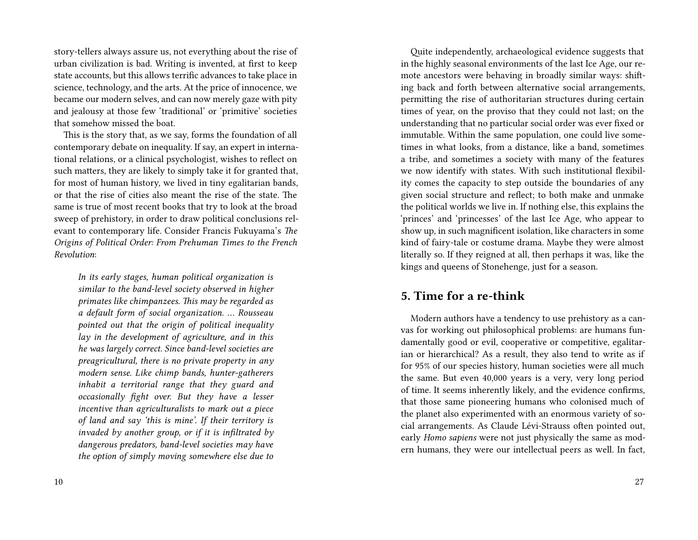story-tellers always assure us, not everything about the rise of urban civilization is bad. Writing is invented, at first to keep state accounts, but this allows terrific advances to take place in science, technology, and the arts. At the price of innocence, we became our modern selves, and can now merely gaze with pity and jealousy at those few 'traditional' or 'primitive' societies that somehow missed the boat.

This is the story that, as we say, forms the foundation of all contemporary debate on inequality. If say, an expert in international relations, or a clinical psychologist, wishes to reflect on such matters, they are likely to simply take it for granted that, for most of human history, we lived in tiny egalitarian bands, or that the rise of cities also meant the rise of the state. The same is true of most recent books that try to look at the broad sweep of prehistory, in order to draw political conclusions relevant to contemporary life. Consider Francis Fukuyama's *The Origins of Political Order: From Prehuman Times to the French Revolution*:

*In its early stages, human political organization is similar to the band-level society observed in higher primates like chimpanzees. This may be regarded as a default form of social organization. … Rousseau pointed out that the origin of political inequality lay in the development of agriculture, and in this he was largely correct. Since band-level societies are preagricultural, there is no private property in any modern sense. Like chimp bands, hunter-gatherers inhabit a territorial range that they guard and occasionally fight over. But they have a lesser incentive than agriculturalists to mark out a piece of land and say 'this is mine'. If their territory is invaded by another group, or if it is infiltrated by dangerous predators, band-level societies may have the option of simply moving somewhere else due to*

10

Quite independently, archaeological evidence suggests that in the highly seasonal environments of the last Ice Age, our remote ancestors were behaving in broadly similar ways: shifting back and forth between alternative social arrangements, permitting the rise of authoritarian structures during certain times of year, on the proviso that they could not last; on the understanding that no particular social order was ever fixed or immutable. Within the same population, one could live sometimes in what looks, from a distance, like a band, sometimes a tribe, and sometimes a society with many of the features we now identify with states. With such institutional flexibility comes the capacity to step outside the boundaries of any given social structure and reflect; to both make and unmake the political worlds we live in. If nothing else, this explains the 'princes' and 'princesses' of the last Ice Age, who appear to show up, in such magnificent isolation, like characters in some kind of fairy-tale or costume drama. Maybe they were almost literally so. If they reigned at all, then perhaps it was, like the kings and queens of Stonehenge, just for a season.

### **5. Time for a re-think**

Modern authors have a tendency to use prehistory as a canvas for working out philosophical problems: are humans fundamentally good or evil, cooperative or competitive, egalitarian or hierarchical? As a result, they also tend to write as if for 95% of our species history, human societies were all much the same. But even 40,000 years is a very, very long period of time. It seems inherently likely, and the evidence confirms, that those same pioneering humans who colonised much of the planet also experimented with an enormous variety of social arrangements. As Claude Lévi-Strauss often pointed out, early *Homo sapiens* were not just physically the same as modern humans, they were our intellectual peers as well. In fact,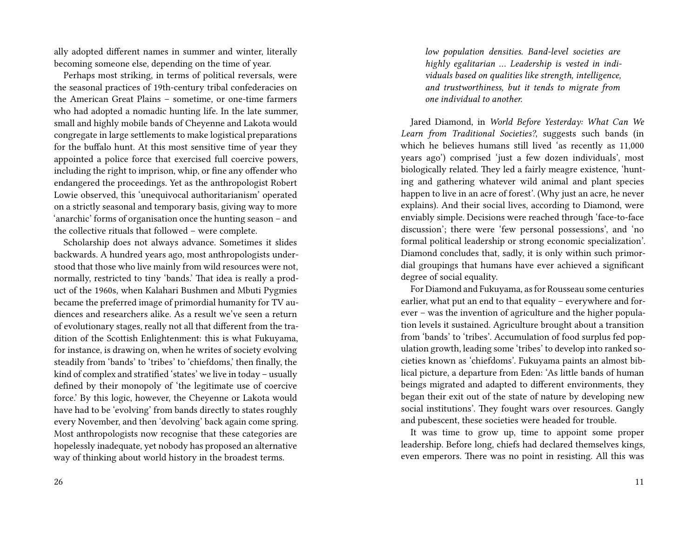ally adopted different names in summer and winter, literally becoming someone else, depending on the time of year.

Perhaps most striking, in terms of political reversals, were the seasonal practices of 19th-century tribal confederacies on the American Great Plains – sometime, or one-time farmers who had adopted a nomadic hunting life. In the late summer, small and highly mobile bands of Cheyenne and Lakota would congregate in large settlements to make logistical preparations for the buffalo hunt. At this most sensitive time of year they appointed a police force that exercised full coercive powers, including the right to imprison, whip, or fine any offender who endangered the proceedings. Yet as the anthropologist Robert Lowie observed, this 'unequivocal authoritarianism' operated on a strictly seasonal and temporary basis, giving way to more 'anarchic' forms of organisation once the hunting season – and the collective rituals that followed – were complete.

Scholarship does not always advance. Sometimes it slides backwards. A hundred years ago, most anthropologists understood that those who live mainly from wild resources were not, normally, restricted to tiny 'bands.' That idea is really a product of the 1960s, when Kalahari Bushmen and Mbuti Pygmies became the preferred image of primordial humanity for TV audiences and researchers alike. As a result we've seen a return of evolutionary stages, really not all that different from the tradition of the Scottish Enlightenment: this is what Fukuyama, for instance, is drawing on, when he writes of society evolving steadily from 'bands' to 'tribes' to 'chiefdoms,' then finally, the kind of complex and stratified 'states' we live in today – usually defined by their monopoly of 'the legitimate use of coercive force.' By this logic, however, the Cheyenne or Lakota would have had to be 'evolving' from bands directly to states roughly every November, and then 'devolving' back again come spring. Most anthropologists now recognise that these categories are hopelessly inadequate, yet nobody has proposed an alternative way of thinking about world history in the broadest terms.

*low population densities. Band-level societies are highly egalitarian … Leadership is vested in individuals based on qualities like strength, intelligence, and trustworthiness, but it tends to migrate from one individual to another.*

Jared Diamond, in *World Before Yesterday: What Can We Learn from Traditional Societies?*, suggests such bands (in which he believes humans still lived 'as recently as 11,000 years ago') comprised 'just a few dozen individuals', most biologically related. They led a fairly meagre existence, 'hunting and gathering whatever wild animal and plant species happen to live in an acre of forest'. (Why just an acre, he never explains). And their social lives, according to Diamond, were enviably simple. Decisions were reached through 'face-to-face discussion'; there were 'few personal possessions', and 'no formal political leadership or strong economic specialization'. Diamond concludes that, sadly, it is only within such primordial groupings that humans have ever achieved a significant degree of social equality.

For Diamond and Fukuyama, as for Rousseau some centuries earlier, what put an end to that equality – everywhere and forever – was the invention of agriculture and the higher population levels it sustained. Agriculture brought about a transition from 'bands' to 'tribes'. Accumulation of food surplus fed population growth, leading some 'tribes' to develop into ranked societies known as 'chiefdoms'. Fukuyama paints an almost biblical picture, a departure from Eden: 'As little bands of human beings migrated and adapted to different environments, they began their exit out of the state of nature by developing new social institutions'. They fought wars over resources. Gangly and pubescent, these societies were headed for trouble.

It was time to grow up, time to appoint some proper leadership. Before long, chiefs had declared themselves kings, even emperors. There was no point in resisting. All this was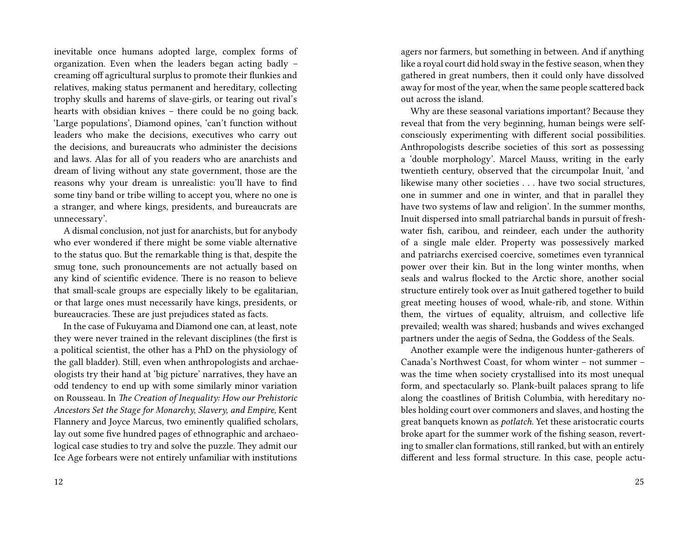inevitable once humans adopted large, complex forms of organization. Even when the leaders began acting badly – creaming off agricultural surplus to promote their flunkies and relatives, making status permanent and hereditary, collecting trophy skulls and harems of slave-girls, or tearing out rival's hearts with obsidian knives – there could be no going back. 'Large populations', Diamond opines, 'can't function without leaders who make the decisions, executives who carry out the decisions, and bureaucrats who administer the decisions and laws. Alas for all of you readers who are anarchists and dream of living without any state government, those are the reasons why your dream is unrealistic: you'll have to find some tiny band or tribe willing to accept you, where no one is a stranger, and where kings, presidents, and bureaucrats are unnecessary'.

A dismal conclusion, not just for anarchists, but for anybody who ever wondered if there might be some viable alternative to the status quo. But the remarkable thing is that, despite the smug tone, such pronouncements are not actually based on any kind of scientific evidence. There is no reason to believe that small-scale groups are especially likely to be egalitarian, or that large ones must necessarily have kings, presidents, or bureaucracies. These are just prejudices stated as facts.

In the case of Fukuyama and Diamond one can, at least, note they were never trained in the relevant disciplines (the first is a political scientist, the other has a PhD on the physiology of the gall bladder). Still, even when anthropologists and archaeologists try their hand at 'big picture' narratives, they have an odd tendency to end up with some similarly minor variation on Rousseau. In *The Creation of Inequality: How our Prehistoric Ancestors Set the Stage for Monarchy, Slavery, and Empire,* Kent Flannery and Joyce Marcus, two eminently qualified scholars, lay out some five hundred pages of ethnographic and archaeological case studies to try and solve the puzzle. They admit our Ice Age forbears were not entirely unfamiliar with institutions

agers nor farmers, but something in between. And if anything like a royal court did hold sway in the festive season, when they gathered in great numbers, then it could only have dissolved away for most of the year, when the same people scattered back out across the island.

Why are these seasonal variations important? Because they reveal that from the very beginning, human beings were selfconsciously experimenting with different social possibilities. Anthropologists describe societies of this sort as possessing a 'double morphology'. Marcel Mauss, writing in the early twentieth century, observed that the circumpolar Inuit, 'and likewise many other societies . . . have two social structures, one in summer and one in winter, and that in parallel they have two systems of law and religion'. In the summer months, Inuit dispersed into small patriarchal bands in pursuit of freshwater fish, caribou, and reindeer, each under the authority of a single male elder. Property was possessively marked and patriarchs exercised coercive, sometimes even tyrannical power over their kin. But in the long winter months, when seals and walrus flocked to the Arctic shore, another social structure entirely took over as Inuit gathered together to build great meeting houses of wood, whale-rib, and stone. Within them, the virtues of equality, altruism, and collective life prevailed; wealth was shared; husbands and wives exchanged partners under the aegis of Sedna, the Goddess of the Seals.

Another example were the indigenous hunter-gatherers of Canada's Northwest Coast, for whom winter – not summer – was the time when society crystallised into its most unequal form, and spectacularly so. Plank-built palaces sprang to life along the coastlines of British Columbia, with hereditary nobles holding court over commoners and slaves, and hosting the great banquets known as *potlatch*. Yet these aristocratic courts broke apart for the summer work of the fishing season, reverting to smaller clan formations, still ranked, but with an entirely different and less formal structure. In this case, people actu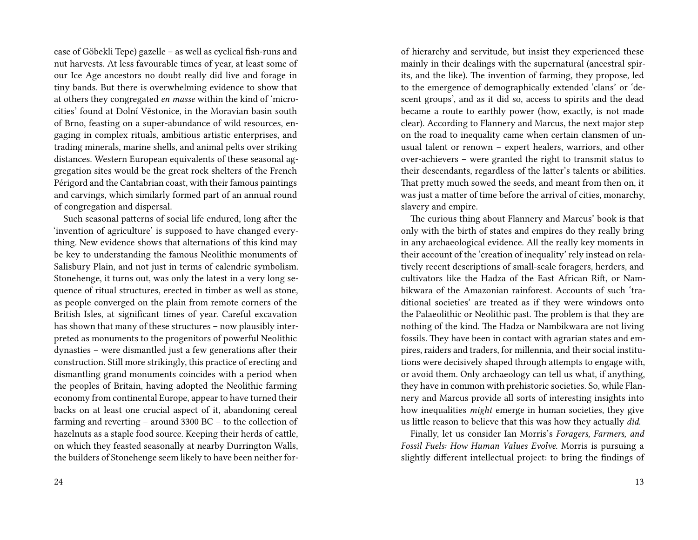case of Göbekli Tepe) gazelle – as well as cyclical fish-runs and nut harvests. At less favourable times of year, at least some of our Ice Age ancestors no doubt really did live and forage in tiny bands. But there is overwhelming evidence to show that at others they congregated *en masse* within the kind of 'microcities' found at Dolní Věstonice, in the Moravian basin south of Brno, feasting on a super-abundance of wild resources, engaging in complex rituals, ambitious artistic enterprises, and trading minerals, marine shells, and animal pelts over striking distances. Western European equivalents of these seasonal aggregation sites would be the great rock shelters of the French Périgord and the Cantabrian coast, with their famous paintings and carvings, which similarly formed part of an annual round of congregation and dispersal.

Such seasonal patterns of social life endured, long after the 'invention of agriculture' is supposed to have changed everything. New evidence shows that alternations of this kind may be key to understanding the famous Neolithic monuments of Salisbury Plain, and not just in terms of calendric symbolism. Stonehenge, it turns out, was only the latest in a very long sequence of ritual structures, erected in timber as well as stone, as people converged on the plain from remote corners of the British Isles, at significant times of year. Careful excavation has shown that many of these structures – now plausibly interpreted as monuments to the progenitors of powerful Neolithic dynasties – were dismantled just a few generations after their construction. Still more strikingly, this practice of erecting and dismantling grand monuments coincides with a period when the peoples of Britain, having adopted the Neolithic farming economy from continental Europe, appear to have turned their backs on at least one crucial aspect of it, abandoning cereal farming and reverting – around 3300 BC – to the collection of hazelnuts as a staple food source. Keeping their herds of cattle, on which they feasted seasonally at nearby Durrington Walls, the builders of Stonehenge seem likely to have been neither forof hierarchy and servitude, but insist they experienced these mainly in their dealings with the supernatural (ancestral spirits, and the like). The invention of farming, they propose, led to the emergence of demographically extended 'clans' or 'descent groups', and as it did so, access to spirits and the dead became a route to earthly power (how, exactly, is not made clear). According to Flannery and Marcus, the next major step on the road to inequality came when certain clansmen of unusual talent or renown – expert healers, warriors, and other over-achievers – were granted the right to transmit status to their descendants, regardless of the latter's talents or abilities. That pretty much sowed the seeds, and meant from then on, it was just a matter of time before the arrival of cities, monarchy, slavery and empire.

The curious thing about Flannery and Marcus' book is that only with the birth of states and empires do they really bring in any archaeological evidence. All the really key moments in their account of the 'creation of inequality' rely instead on relatively recent descriptions of small-scale foragers, herders, and cultivators like the Hadza of the East African Rift, or Nambikwara of the Amazonian rainforest. Accounts of such 'traditional societies' are treated as if they were windows onto the Palaeolithic or Neolithic past. The problem is that they are nothing of the kind. The Hadza or Nambikwara are not living fossils. They have been in contact with agrarian states and empires, raiders and traders, for millennia, and their social institutions were decisively shaped through attempts to engage with, or avoid them. Only archaeology can tell us what, if anything, they have in common with prehistoric societies. So, while Flannery and Marcus provide all sorts of interesting insights into how inequalities *might* emerge in human societies, they give us little reason to believe that this was how they actually *did*.

Finally, let us consider Ian Morris's *Foragers, Farmers, and Fossil Fuels: How Human Values Evolve*. Morris is pursuing a slightly different intellectual project: to bring the findings of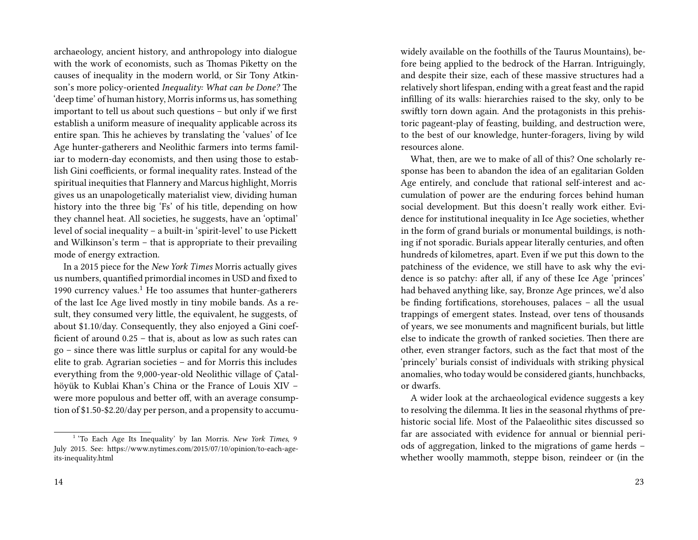archaeology, ancient history, and anthropology into dialogue with the work of economists, such as Thomas Piketty on the causes of inequality in the modern world, or Sir Tony Atkinson's more policy-oriented *Inequality: What can be Done?* The 'deep time' of human history, Morris informs us, has something important to tell us about such questions – but only if we first establish a uniform measure of inequality applicable across its entire span. This he achieves by translating the 'values' of Ice Age hunter-gatherers and Neolithic farmers into terms familiar to modern-day economists, and then using those to establish Gini coefficients, or formal inequality rates. Instead of the spiritual inequities that Flannery and Marcus highlight, Morris gives us an unapologetically materialist view, dividing human history into the three big 'Fs' of his title, depending on how they channel heat. All societies, he suggests, have an 'optimal' level of social inequality – a built-in 'spirit-level' to use Pickett and Wilkinson's term – that is appropriate to their prevailing mode of energy extraction.

In a 2015 piece for the *New York Times* Morris actually gives us numbers, quantified primordial incomes in USD and fixed to 1990 currency values. $<sup>1</sup>$  He too assumes that hunter-gatherers</sup> of the last Ice Age lived mostly in tiny mobile bands. As a result, they consumed very little, the equivalent, he suggests, of about \$1.10/day. Consequently, they also enjoyed a Gini coefficient of around 0.25 – that is, about as low as such rates can go – since there was little surplus or capital for any would-be elite to grab. Agrarian societies – and for Morris this includes everything from the 9,000-year-old Neolithic village of Çatalhöyük to Kublai Khan's China or the France of Louis XIV – were more populous and better off, with an average consumption of \$1.50-\$2.20/day per person, and a propensity to accumuwidely available on the foothills of the Taurus Mountains), before being applied to the bedrock of the Harran. Intriguingly, and despite their size, each of these massive structures had a relatively short lifespan, ending with a great feast and the rapid infilling of its walls: hierarchies raised to the sky, only to be swiftly torn down again. And the protagonists in this prehistoric pageant-play of feasting, building, and destruction were, to the best of our knowledge, hunter-foragers, living by wild resources alone.

What, then, are we to make of all of this? One scholarly response has been to abandon the idea of an egalitarian Golden Age entirely, and conclude that rational self-interest and accumulation of power are the enduring forces behind human social development. But this doesn't really work either. Evidence for institutional inequality in Ice Age societies, whether in the form of grand burials or monumental buildings, is nothing if not sporadic. Burials appear literally centuries, and often hundreds of kilometres, apart. Even if we put this down to the patchiness of the evidence, we still have to ask why the evidence is so patchy: after all, if any of these Ice Age 'princes' had behaved anything like, say, Bronze Age princes, we'd also be finding fortifications, storehouses, palaces – all the usual trappings of emergent states. Instead, over tens of thousands of years, we see monuments and magnificent burials, but little else to indicate the growth of ranked societies. Then there are other, even stranger factors, such as the fact that most of the 'princely' burials consist of individuals with striking physical anomalies, who today would be considered giants, hunchbacks, or dwarfs.

A wider look at the archaeological evidence suggests a key to resolving the dilemma. It lies in the seasonal rhythms of prehistoric social life. Most of the Palaeolithic sites discussed so far are associated with evidence for annual or biennial periods of aggregation, linked to the migrations of game herds – whether woolly mammoth, steppe bison, reindeer or (in the

<sup>&</sup>lt;sup>1</sup> 'To Each Age Its Inequality' by Ian Morris. *New York Times*, 9 July 2015. See: https://www.nytimes.com/2015/07/10/opinion/to-each-ageits-inequality.html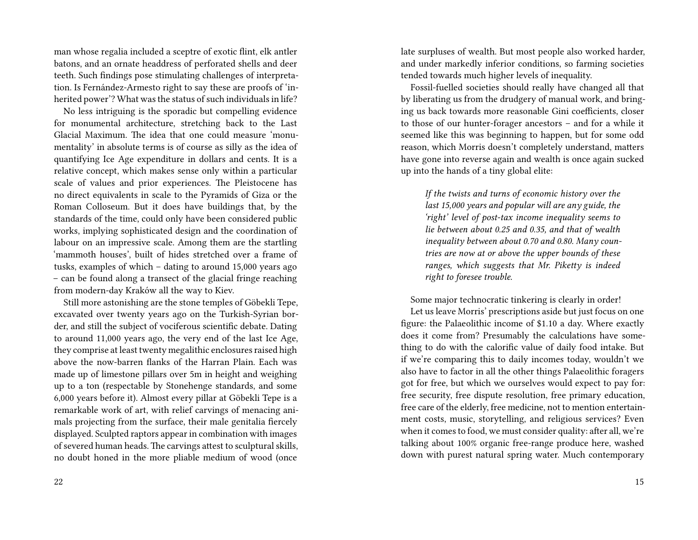man whose regalia included a sceptre of exotic flint, elk antler batons, and an ornate headdress of perforated shells and deer teeth. Such findings pose stimulating challenges of interpretation. Is Fernández-Armesto right to say these are proofs of 'inherited power'? What was the status of such individuals in life?

No less intriguing is the sporadic but compelling evidence for monumental architecture, stretching back to the Last Glacial Maximum. The idea that one could measure 'monumentality' in absolute terms is of course as silly as the idea of quantifying Ice Age expenditure in dollars and cents. It is a relative concept, which makes sense only within a particular scale of values and prior experiences. The Pleistocene has no direct equivalents in scale to the Pyramids of Giza or the Roman Colloseum. But it does have buildings that, by the standards of the time, could only have been considered public works, implying sophisticated design and the coordination of labour on an impressive scale. Among them are the startling 'mammoth houses', built of hides stretched over a frame of tusks, examples of which – dating to around 15,000 years ago – can be found along a transect of the glacial fringe reaching from modern-day Kraków all the way to Kiev.

Still more astonishing are the stone temples of Göbekli Tepe, excavated over twenty years ago on the Turkish-Syrian border, and still the subject of vociferous scientific debate. Dating to around 11,000 years ago, the very end of the last Ice Age, they comprise at least twenty megalithic enclosures raised high above the now-barren flanks of the Harran Plain. Each was made up of limestone pillars over 5m in height and weighing up to a ton (respectable by Stonehenge standards, and some 6,000 years before it). Almost every pillar at Göbekli Tepe is a remarkable work of art, with relief carvings of menacing animals projecting from the surface, their male genitalia fiercely displayed. Sculpted raptors appear in combination with images of severed human heads. The carvings attest to sculptural skills, no doubt honed in the more pliable medium of wood (once

late surpluses of wealth. But most people also worked harder, and under markedly inferior conditions, so farming societies tended towards much higher levels of inequality.

Fossil-fuelled societies should really have changed all that by liberating us from the drudgery of manual work, and bringing us back towards more reasonable Gini coefficients, closer to those of our hunter-forager ancestors – and for a while it seemed like this was beginning to happen, but for some odd reason, which Morris doesn't completely understand, matters have gone into reverse again and wealth is once again sucked up into the hands of a tiny global elite:

*If the twists and turns of economic history over the last 15,000 years and popular will are any guide, the 'right' level of post-tax income inequality seems to lie between about 0.25 and 0.35, and that of wealth inequality between about 0.70 and 0.80. Many countries are now at or above the upper bounds of these ranges, which suggests that Mr. Piketty is indeed right to foresee trouble.*

Some major technocratic tinkering is clearly in order!

Let us leave Morris' prescriptions aside but just focus on one figure: the Palaeolithic income of \$1.10 a day. Where exactly does it come from? Presumably the calculations have something to do with the calorific value of daily food intake. But if we're comparing this to daily incomes today, wouldn't we also have to factor in all the other things Palaeolithic foragers got for free, but which we ourselves would expect to pay for: free security, free dispute resolution, free primary education, free care of the elderly, free medicine, not to mention entertainment costs, music, storytelling, and religious services? Even when it comes to food, we must consider quality: after all, we're talking about 100% organic free-range produce here, washed down with purest natural spring water. Much contemporary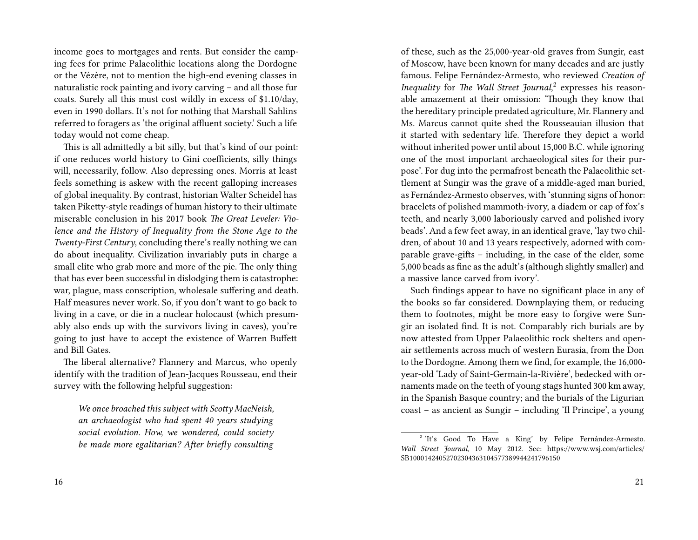income goes to mortgages and rents. But consider the camping fees for prime Palaeolithic locations along the Dordogne or the Vézère, not to mention the high-end evening classes in naturalistic rock painting and ivory carving – and all those fur coats. Surely all this must cost wildly in excess of \$1.10/day, even in 1990 dollars. It's not for nothing that Marshall Sahlins referred to foragers as 'the original affluent society.' Such a life today would not come cheap.

This is all admittedly a bit silly, but that's kind of our point: if one reduces world history to Gini coefficients, silly things will, necessarily, follow. Also depressing ones. Morris at least feels something is askew with the recent galloping increases of global inequality. By contrast, historian Walter Scheidel has taken Piketty-style readings of human history to their ultimate miserable conclusion in his 2017 book *The Great Leveler: Violence and the History of Inequality from the Stone Age to the Twenty-First Century*, concluding there's really nothing we can do about inequality. Civilization invariably puts in charge a small elite who grab more and more of the pie. The only thing that has ever been successful in dislodging them is catastrophe: war, plague, mass conscription, wholesale suffering and death. Half measures never work. So, if you don't want to go back to living in a cave, or die in a nuclear holocaust (which presumably also ends up with the survivors living in caves), you're going to just have to accept the existence of Warren Buffett and Bill Gates.

The liberal alternative? Flannery and Marcus, who openly identify with the tradition of Jean-Jacques Rousseau, end their survey with the following helpful suggestion:

*We once broached this subject with Scotty MacNeish, an archaeologist who had spent 40 years studying social evolution. How, we wondered, could society be made more egalitarian? After briefly consulting* of these, such as the 25,000-year-old graves from Sungir, east of Moscow, have been known for many decades and are justly famous. Felipe Fernández-Armesto, who reviewed *Creation of Inequality* for *The Wall Street Journal*, 2 expresses his reasonable amazement at their omission: 'Though they know that the hereditary principle predated agriculture, Mr. Flannery and Ms. Marcus cannot quite shed the Rousseauian illusion that it started with sedentary life. Therefore they depict a world without inherited power until about 15,000 B.C. while ignoring one of the most important archaeological sites for their purpose'. For dug into the permafrost beneath the Palaeolithic settlement at Sungir was the grave of a middle-aged man buried, as Fernández-Armesto observes, with 'stunning signs of honor: bracelets of polished mammoth-ivory, a diadem or cap of fox's teeth, and nearly 3,000 laboriously carved and polished ivory beads'. And a few feet away, in an identical grave, 'lay two children, of about 10 and 13 years respectively, adorned with comparable grave-gifts – including, in the case of the elder, some 5,000 beads as fine as the adult's (although slightly smaller) and a massive lance carved from ivory'.

Such findings appear to have no significant place in any of the books so far considered. Downplaying them, or reducing them to footnotes, might be more easy to forgive were Sungir an isolated find. It is not. Comparably rich burials are by now attested from Upper Palaeolithic rock shelters and openair settlements across much of western Eurasia, from the Don to the Dordogne. Among them we find, for example, the 16,000 year-old 'Lady of Saint-Germain-la-Rivière', bedecked with ornaments made on the teeth of young stags hunted 300 km away, in the Spanish Basque country; and the burials of the Ligurian coast – as ancient as Sungir – including 'Il Principe', a young

<sup>&</sup>lt;sup>2</sup> 'It's Good To Have a King' by Felipe Fernández-Armesto. *Wall Street Journal*, 10 May 2012. See: https://www.wsj.com/articles/ SB10001424052702304363104577389944241796150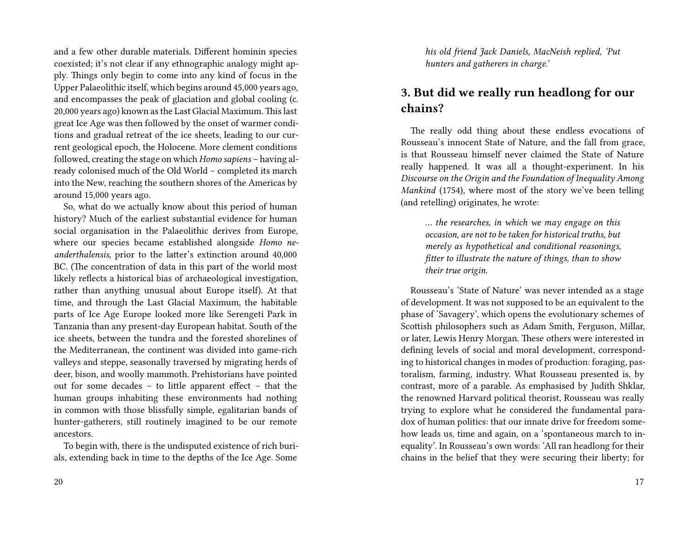and a few other durable materials. Different hominin species coexisted; it's not clear if any ethnographic analogy might apply. Things only begin to come into any kind of focus in the Upper Palaeolithic itself, which begins around 45,000 years ago, and encompasses the peak of glaciation and global cooling (c. 20,000 years ago) known as the Last Glacial Maximum. This last great Ice Age was then followed by the onset of warmer conditions and gradual retreat of the ice sheets, leading to our current geological epoch, the Holocene. More clement conditions followed, creating the stage on which *Homo sapiens* – having already colonised much of the Old World – completed its march into the New, reaching the southern shores of the Americas by around 15,000 years ago.

So, what do we actually know about this period of human history? Much of the earliest substantial evidence for human social organisation in the Palaeolithic derives from Europe, where our species became established alongside *Homo neanderthalensis*, prior to the latter's extinction around 40,000 BC. (The concentration of data in this part of the world most likely reflects a historical bias of archaeological investigation, rather than anything unusual about Europe itself). At that time, and through the Last Glacial Maximum, the habitable parts of Ice Age Europe looked more like Serengeti Park in Tanzania than any present-day European habitat. South of the ice sheets, between the tundra and the forested shorelines of the Mediterranean, the continent was divided into game-rich valleys and steppe, seasonally traversed by migrating herds of deer, bison, and woolly mammoth. Prehistorians have pointed out for some decades – to little apparent effect – that the human groups inhabiting these environments had nothing in common with those blissfully simple, egalitarian bands of hunter-gatherers, still routinely imagined to be our remote ancestors.

To begin with, there is the undisputed existence of rich burials, extending back in time to the depths of the Ice Age. Some

*his old friend Jack Daniels, MacNeish replied, 'Put hunters and gatherers in charge.'*

### **3. But did we really run headlong for our chains?**

The really odd thing about these endless evocations of Rousseau's innocent State of Nature, and the fall from grace, is that Rousseau himself never claimed the State of Nature really happened. It was all a thought-experiment. In his *Discourse on the Origin and the Foundation of Inequality Among Mankind* (1754), where most of the story we've been telling (and retelling) originates, he wrote:

*… the researches, in which we may engage on this occasion, are not to be taken for historical truths, but merely as hypothetical and conditional reasonings, fitter to illustrate the nature of things, than to show their true origin.*

Rousseau's 'State of Nature' was never intended as a stage of development. It was not supposed to be an equivalent to the phase of 'Savagery', which opens the evolutionary schemes of Scottish philosophers such as Adam Smith, Ferguson, Millar, or later, Lewis Henry Morgan. These others were interested in defining levels of social and moral development, corresponding to historical changes in modes of production: foraging, pastoralism, farming, industry. What Rousseau presented is, by contrast, more of a parable. As emphasised by Judith Shklar, the renowned Harvard political theorist, Rousseau was really trying to explore what he considered the fundamental paradox of human politics: that our innate drive for freedom somehow leads us, time and again, on a 'spontaneous march to inequality'. In Rousseau's own words: 'All ran headlong for their chains in the belief that they were securing their liberty; for